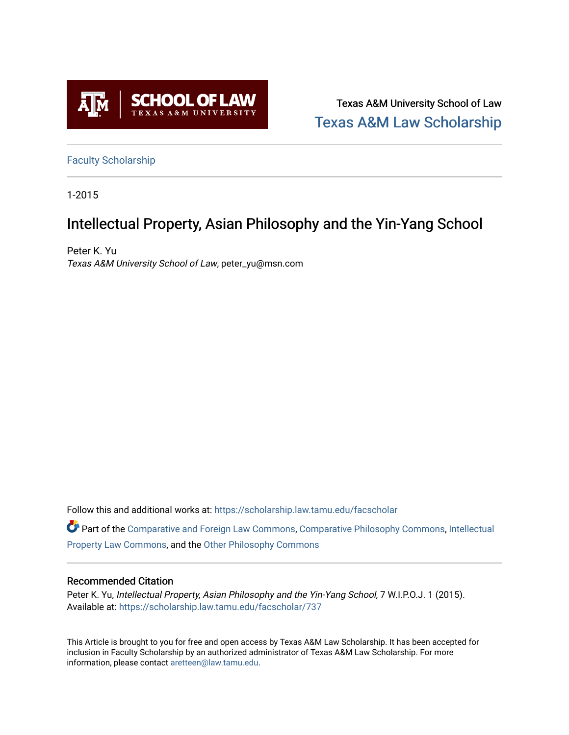

Texas A&M University School of Law [Texas A&M Law Scholarship](https://scholarship.law.tamu.edu/) 

[Faculty Scholarship](https://scholarship.law.tamu.edu/facscholar)

1-2015

## Intellectual Property, Asian Philosophy and the Yin-Yang School

Peter K. Yu Texas A&M University School of Law, peter\_yu@msn.com

Follow this and additional works at: [https://scholarship.law.tamu.edu/facscholar](https://scholarship.law.tamu.edu/facscholar?utm_source=scholarship.law.tamu.edu%2Ffacscholar%2F737&utm_medium=PDF&utm_campaign=PDFCoverPages) 

Part of the [Comparative and Foreign Law Commons,](http://network.bepress.com/hgg/discipline/836?utm_source=scholarship.law.tamu.edu%2Ffacscholar%2F737&utm_medium=PDF&utm_campaign=PDFCoverPages) [Comparative Philosophy Commons,](http://network.bepress.com/hgg/discipline/1343?utm_source=scholarship.law.tamu.edu%2Ffacscholar%2F737&utm_medium=PDF&utm_campaign=PDFCoverPages) [Intellectual](http://network.bepress.com/hgg/discipline/896?utm_source=scholarship.law.tamu.edu%2Ffacscholar%2F737&utm_medium=PDF&utm_campaign=PDFCoverPages) [Property Law Commons](http://network.bepress.com/hgg/discipline/896?utm_source=scholarship.law.tamu.edu%2Ffacscholar%2F737&utm_medium=PDF&utm_campaign=PDFCoverPages), and the [Other Philosophy Commons](http://network.bepress.com/hgg/discipline/537?utm_source=scholarship.law.tamu.edu%2Ffacscholar%2F737&utm_medium=PDF&utm_campaign=PDFCoverPages) 

#### Recommended Citation

Peter K. Yu, Intellectual Property, Asian Philosophy and the Yin-Yang School, 7 W.I.P.O.J. 1 (2015). Available at: [https://scholarship.law.tamu.edu/facscholar/737](https://scholarship.law.tamu.edu/facscholar/737?utm_source=scholarship.law.tamu.edu%2Ffacscholar%2F737&utm_medium=PDF&utm_campaign=PDFCoverPages)

This Article is brought to you for free and open access by Texas A&M Law Scholarship. It has been accepted for inclusion in Faculty Scholarship by an authorized administrator of Texas A&M Law Scholarship. For more information, please contact [aretteen@law.tamu.edu](mailto:aretteen@law.tamu.edu).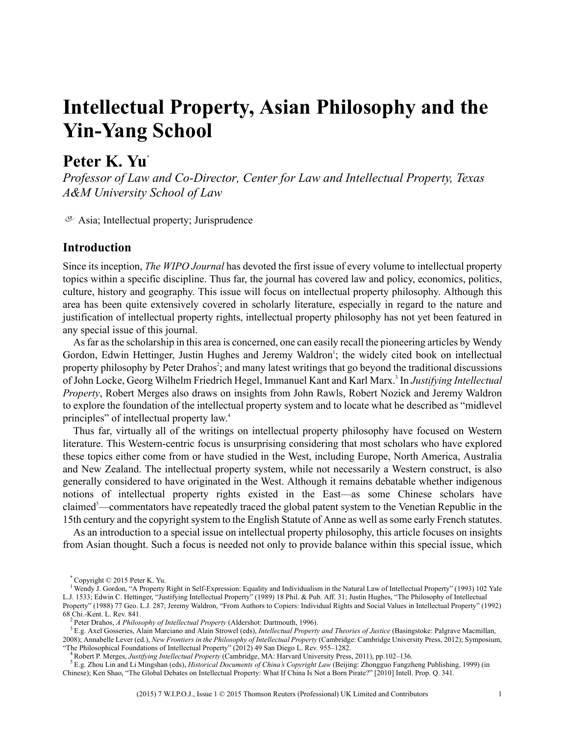# **Intellectual Property, Asian Philosophy and the Yin-Yang School**

### **Peter K. Yu \***

*Professor of Law and Co-Director, Center for Law and Intellectual Property, Texas A&M University School of Law*

 $\sigma$  Asia; Intellectual property; Jurisprudence

#### **Introduction**

Since its inception, *The WIPO Journal* has devoted the first issue of every volume to intellectual property topics within a specific discipline. Thus far, the journal has covered law and policy, economics, politics, culture, history and geography. This issue will focus on intellectual property philosophy. Although this area has been quite extensively covered in scholarly literature, especially in regard to the nature and justification of intellectual property rights, intellectual property philosophy has not yet been featured in any special issue of this journal.

Asfar asthe scholarship in this area is concerned, one can easily recall the pioneering articles by Wendy Gordon, Edwin Hettinger, Justin Hughes and Jeremy Waldron<sup>1</sup>; the widely cited book on intellectual property philosophy by Peter Drahos<sup>2</sup>; and many latest writings that go beyond the traditional discussions of John Locke, Georg Wilhelm Friedrich Hegel, Immanuel Kant and Karl Marx.<sup>3</sup> In *Justifying Intellectual Property*, Robert Merges also draws on insights from John Rawls, Robert Nozick and Jeremy Waldron to explore the foundation of the intellectual property system and to locate what he described as "midlevel principles" of intellectual property law. 4

Thus far, virtually all of the writings on intellectual property philosophy have focused on Western literature. This Western-centric focus is unsurprising considering that most scholars who have explored these topics either come from or have studied in the West, including Europe, North America, Australia and New Zealand. The intellectual property system, while not necessarily a Western construct, is also generally considered to have originated in the West. Although it remains debatable whether indigenous notions of intellectual property rights existed in the East—as some Chinese scholars have claimed<sup>5</sup>—commentators have repeatedly traced the global patent system to the Venetian Republic in the 15th century and the copyright system to the English Statute of Anne as well as some early French statutes.

As an introduction to a special issue on intellectual property philosophy, this article focuses on insights from Asian thought. Such a focus is needed not only to provide balance within this special issue, which

<sup>\*</sup> Copyright © 2015 Peter K. Yu.

<sup>1</sup> Wendy J. Gordon, "A Property Right in Self-Expression: Equality and Individualism in the Natural Law of Intellectual Property" (1993) 102 Yale L.J. 1533; Edwin C. Hettinger, "Justifying Intellectual Property" (1989) 18 Phil. & Pub. Aff. 31; Justin Hughes, "The Philosophy of Intellectual Property" (1988) 77 Geo. L.J. 287; Jeremy Waldron, "From Authors to Copiers: Individual Rights and Social Values in Intellectual Property" (1992) 68 Chi.-Kent. L. Rev. 841.

<sup>2</sup> Peter Drahos, *A Philosophy of Intellectual Property* (Aldershot: Dartmouth, 1996).

<sup>3</sup> E.g. Axel Gosseries, Alain Marciano and Alain Strowel (eds), *Intellectual Property and Theories of Justice* (Basingstoke: Palgrave Macmillan, 2008); Annabelle Lever (ed.), *New Frontiers in the Philosophy of Intellectual Property* (Cambridge: Cambridge University Press, 2012); Symposium, "The Philosophical Foundations of Intellectual Property" (2012) 49 San Diego L. Rev. 955–1282.

<sup>4</sup> Robert P. Merges, *Justifying Intellectual Property* (Cambridge, MA: Harvard University Press, 2011), pp.102–136.

<sup>5</sup> E.g. Zhou Lin and Li Mingshan (eds), *Historical Documents of China's Copyright Law* (Beijing: Zhongguo Fangzheng Publishing, 1999) (in Chinese); Ken Shao, "The Global Debates on Intellectual Property: What If China Is Not a Born Pirate?" [2010] Intell. Prop. Q. 341.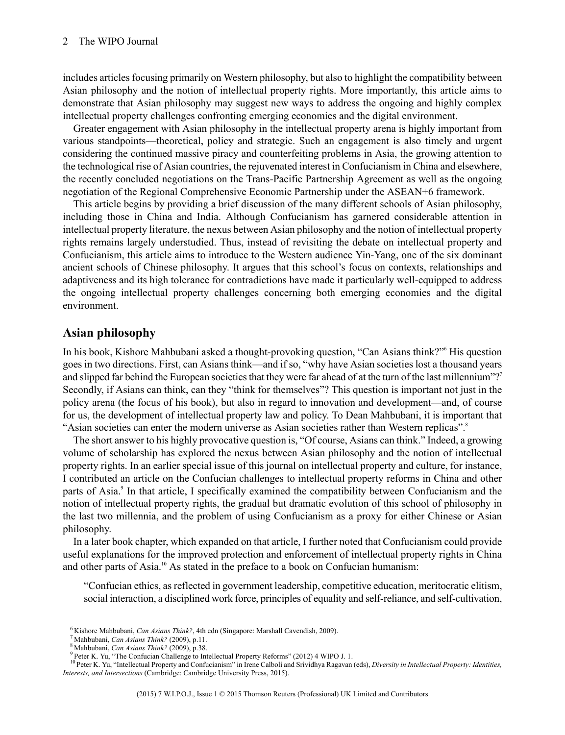includes articles focusing primarily on Western philosophy, but also to highlight the compatibility between Asian philosophy and the notion of intellectual property rights. More importantly, this article aims to demonstrate that Asian philosophy may suggest new ways to address the ongoing and highly complex intellectual property challenges confronting emerging economies and the digital environment.

Greater engagement with Asian philosophy in the intellectual property arena is highly important from various standpoints—theoretical, policy and strategic. Such an engagement is also timely and urgent considering the continued massive piracy and counterfeiting problems in Asia, the growing attention to the technological rise of Asian countries, the rejuvenated interest in Confucianism in China and elsewhere, the recently concluded negotiations on the Trans-Pacific Partnership Agreement as well as the ongoing negotiation of the Regional Comprehensive Economic Partnership under the ASEAN+6 framework.

This article begins by providing a brief discussion of the many different schools of Asian philosophy, including those in China and India. Although Confucianism has garnered considerable attention in intellectual property literature, the nexus between Asian philosophy and the notion of intellectual property rights remains largely understudied. Thus, instead of revisiting the debate on intellectual property and Confucianism, this article aims to introduce to the Western audience Yin-Yang, one of the six dominant ancient schools of Chinese philosophy. It argues that this school's focus on contexts, relationships and adaptiveness and its high tolerance for contradictions have made it particularly well-equipped to address the ongoing intellectual property challenges concerning both emerging economies and the digital environment.

#### **Asian philosophy**

In his book, Kishore Mahbubani asked a thought-provoking question, "Can Asians think?"<sup>6</sup> His question goes in two directions.First, can Asians think—and if so, "why have Asian societies lost a thousand years and slipped far behind the European societies that they were far ahead of at the turn of the last millennium"?<sup>7</sup> Secondly, if Asians can think, can they "think for themselves"? This question is important not just in the policy arena (the focus of his book), but also in regard to innovation and development—and, of course for us, the development of intellectual property law and policy. To Dean Mahbubani, it is important that "Asian societies can enter the modern universe as Asian societies rather than Western replicas".<sup>8</sup>

The short answer to his highly provocative question is, "Of course, Asians can think." Indeed, a growing volume of scholarship has explored the nexus between Asian philosophy and the notion of intellectual property rights. In an earlier special issue of this journal on intellectual property and culture, for instance, I contributed an article on the Confucian challenges to intellectual property reforms in China and other parts of Asia.<sup>9</sup> In that article, I specifically examined the compatibility between Confucianism and the notion of intellectual property rights, the gradual but dramatic evolution of this school of philosophy in the last two millennia, and the problem of using Confucianism as a proxy for either Chinese or Asian philosophy.

In a later book chapter, which expanded on that article, I further noted that Confucianism could provide useful explanations for the improved protection and enforcement of intellectual property rights in China and other parts of Asia.<sup>10</sup> As stated in the preface to a book on Confucian humanism:

"Confucian ethics, asreflected in government leadership, competitive education, meritocratic elitism, social interaction, a disciplined work force, principles of equality and self-reliance, and self-cultivation,

<sup>6</sup> Kishore Mahbubani, *Can Asians Think?*, 4th edn (Singapore: Marshall Cavendish, 2009).

<sup>7</sup> Mahbubani, *Can Asians Think?* (2009), p.11.

<sup>8</sup> Mahbubani, *Can Asians Think?* (2009), p.38.

<sup>&</sup>lt;sup>9</sup> Peter K. Yu, "The Confucian Challenge to Intellectual Property Reforms" (2012) 4 WIPO J. 1.

<sup>10</sup>Peter K. Yu, "Intellectual Property and Confucianism" in Irene Calboli and Srividhya Ragavan (eds), *Diversity in Intellectual Property: Identities, Interests, and Intersections* (Cambridge: Cambridge University Press, 2015).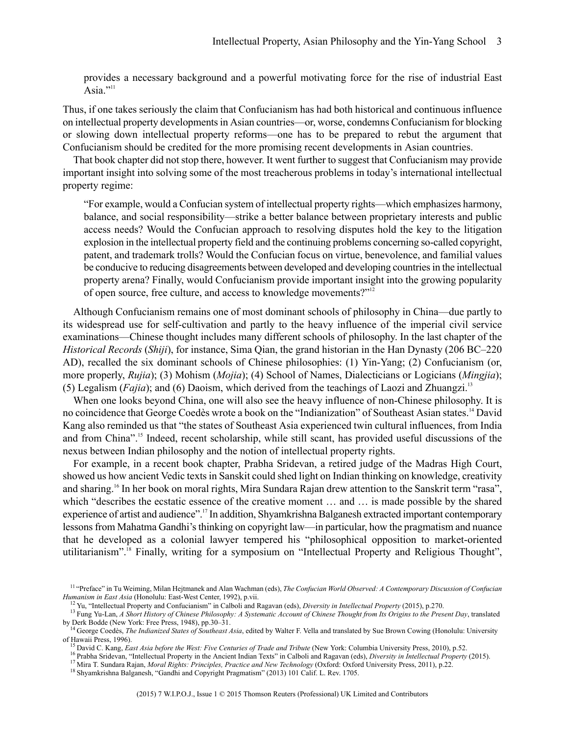provides a necessary background and a powerful motivating force for the rise of industrial East Asia $"$ <sup>111</sup>

Thus, if one takes seriously the claim that Confucianism has had both historical and continuous influence on intellectual property developmentsin Asian countries—or, worse, condemns Confucianism for blocking or slowing down intellectual property reforms—one has to be prepared to rebut the argument that Confucianism should be credited for the more promising recent developments in Asian countries.

That book chapter did not stop there, however. It went further to suggest that Confucianism may provide important insight into solving some of the most treacherous problems in today's international intellectual property regime:

"For example, would a Confucian system of intellectual property rights—which emphasizes harmony, balance, and social responsibility—strike a better balance between proprietary interests and public access needs? Would the Confucian approach to resolving disputes hold the key to the litigation explosion in the intellectual property field and the continuing problems concerning so-called copyright, patent, and trademark trolls? Would the Confucian focus on virtue, benevolence, and familial values be conducive to reducing disagreements between developed and developing countriesin the intellectual property arena? Finally, would Confucianism provide important insight into the growing popularity of open source, free culture, and access to knowledge movements?"<sup>12</sup>

Although Confucianism remains one of most dominant schools of philosophy in China—due partly to its widespread use for self-cultivation and partly to the heavy influence of the imperial civil service examinations—Chinese thought includes many different schools of philosophy. In the last chapter of the *Historical Records* (*Shiji*), for instance, Sima Qian, the grand historian in the Han Dynasty (206 BC–220 AD), recalled the six dominant schools of Chinese philosophies: (1) Yin-Yang; (2) Confucianism (or, more properly, *Rujia*); (3) Mohism (*Mojia*); (4) School of Names, Dialecticians or Logicians (*Mingjia*); (5) Legalism (*Fajia*); and (6) Daoism, which derived from the teachings of Laozi and Zhuangzi.<sup>13</sup>

When one looks beyond China, one will also see the heavy influence of non-Chinese philosophy. It is no coincidence that George Coedès wrote a book on the "Indianization" of Southeast Asian states.<sup>14</sup> David Kang also reminded us that "the states of Southeast Asia experienced twin cultural influences, from India and from China".<sup>15</sup> Indeed, recent scholarship, while still scant, has provided useful discussions of the nexus between Indian philosophy and the notion of intellectual property rights.

For example, in a recent book chapter, Prabha Sridevan, a retired judge of the Madras High Court, showed us how ancient Vedic texts in Sanskit could shed light on Indian thinking on knowledge, creativity and sharing.<sup>16</sup> In her book on moral rights, Mira Sundara Rajan drew attention to the Sanskrit term "rasa", which "describes the ecstatic essence of the creative moment ... and ... is made possible by the shared experience of artist and audience".<sup>17</sup> In addition, Shyamkrishna Balganesh extracted important contemporary lessonsfrom Mahatma Gandhi'sthinking on copyright law—in particular, how the pragmatism and nuance that he developed as a colonial lawyer tempered his "philosophical opposition to market-oriented utilitarianism".<sup>18</sup> Finally, writing for a symposium on "Intellectual Property and Religious Thought",

<sup>11</sup> "Preface" in Tu Weiming, Milan Hejtmanek and Alan Wachman (eds), *The Confucian World Observed: A Contemporary Discussion of Confucian Humanism in East Asia* (Honolulu: East-West Center, 1992), p.vii.

<sup>12</sup> Yu, "Intellectual Property and Confucianism" in Calboli and Ragavan (eds), *Diversity in Intellectual Property* (2015), p.270.

<sup>&</sup>lt;sup>13</sup> Fung Yu-Lan, A Short History of Chinese Philosophy: A Systematic Account of Chinese Thought from Its Origins to the Present Day, translated by Derk Bodde (New York: Free Press, 1948), pp.30–31.<br><sup>14</sup> George Coedès, *The Indianized States of Southeast Asia*, edited by Walter F. Vella and translated by Sue Brown Cowing (Honolulu: University

of Hawaii Press, 1996).

<sup>15</sup> David C. Kang, *East Asia before the West: Five Centuries of Trade and Tribute* (New York: Columbia University Press, 2010), p.52.

<sup>16</sup> Prabha Sridevan, "Intellectual Property in the Ancient Indian Texts" in Calboli and Ragavan (eds), *Diversity in Intellectual Property* (2015). <sup>17</sup> Mira T. Sundara Rajan, *Moral Rights: Principles, Practice and New Technology* (Oxford: Oxford University Press, 2011), p.22.

<sup>18</sup> Shyamkrishna Balganesh, "Gandhi and Copyright Pragmatism" (2013) 101 Calif. L. Rev. 1705.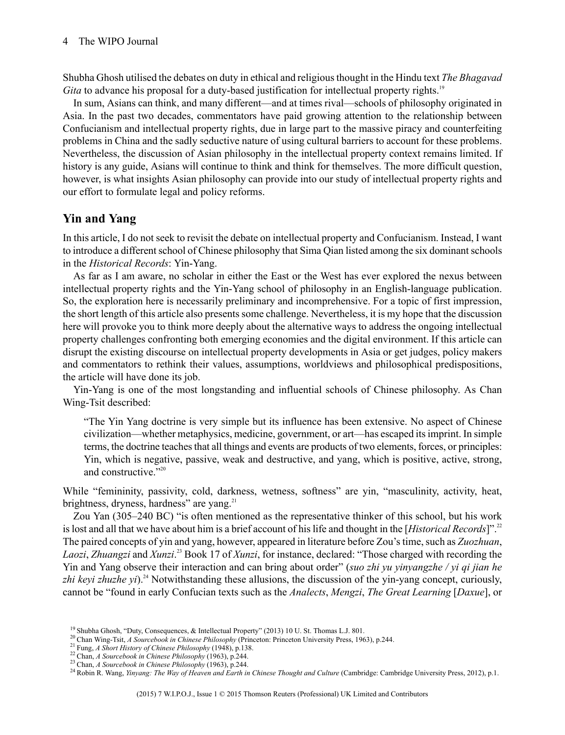Shubha Ghosh utilised the debates on duty in ethical and religiousthought in the Hindu text*The Bhagavad Gita* to advance his proposal for a duty-based justification for intellectual property rights.<sup>19</sup>

In sum, Asians can think, and many different—and at times rival—schools of philosophy originated in Asia. In the past two decades, commentators have paid growing attention to the relationship between Confucianism and intellectual property rights, due in large part to the massive piracy and counterfeiting problems in China and the sadly seductive nature of using cultural barriers to account for these problems. Nevertheless, the discussion of Asian philosophy in the intellectual property context remains limited. If history is any guide, Asians will continue to think and think for themselves. The more difficult question, however, is what insights Asian philosophy can provide into our study of intellectual property rights and our effort to formulate legal and policy reforms.

#### **Yin and Yang**

In this article, I do not seek to revisit the debate on intellectual property and Confucianism. Instead, I want to introduce a different school of Chinese philosophy that Sima Qian listed among the six dominant schools in the *Historical Records*: Yin-Yang.

As far as I am aware, no scholar in either the East or the West has ever explored the nexus between intellectual property rights and the Yin-Yang school of philosophy in an English-language publication. So, the exploration here is necessarily preliminary and incomprehensive. For a topic of first impression, the short length of this article also presents some challenge. Nevertheless, it is my hope that the discussion here will provoke you to think more deeply about the alternative ways to address the ongoing intellectual property challenges confronting both emerging economies and the digital environment. If this article can disrupt the existing discourse on intellectual property developments in Asia or get judges, policy makers and commentators to rethink their values, assumptions, worldviews and philosophical predispositions, the article will have done its job.

Yin-Yang is one of the most longstanding and influential schools of Chinese philosophy. As Chan Wing-Tsit described:

"The Yin Yang doctrine is very simple but its influence has been extensive. No aspect of Chinese civilization—whether metaphysics, medicine, government, or art—has escaped itsimprint. In simple terms, the doctrine teachesthat all things and events are products of two elements, forces, or principles: Yin, which is negative, passive, weak and destructive, and yang, which is positive, active, strong, and constructive."20

While "femininity, passivity, cold, darkness, wetness, softness" are yin, "masculinity, activity, heat, brightness, dryness, hardness" are yang.<sup>21</sup>

Zou Yan (305–240 BC) "is often mentioned as the representative thinker of this school, but his work is lost and all that we have about him is a brief account of his life and thought in the [*Historical Records*]".<sup>22</sup> The paired concepts of yin and yang, however, appeared in literature before Zou's time, such as Zuozhuan, *Laozi*, *Zhuangzi* and *Xunzi*. <sup>23</sup> Book 17 of *Xunzi*, for instance, declared: "Those charged with recording the Yin and Yang observe their interaction and can bring about order" (*suo zhi yu yinyangzhe / yi qi jian he zhi keyi zhuzhe yi*).<sup>24</sup> Notwithstanding these allusions, the discussion of the yin-yang concept, curiously, cannot be "found in early Confucian texts such as the *Analects*, *Mengzi*, *The Great Learning* [*Daxue*], or

<sup>&</sup>lt;sup>19</sup> Shubha Ghosh, "Duty, Consequences, & Intellectual Property" (2013) 10 U. St. Thomas L.J. 801.

<sup>20</sup> Chan Wing-Tsit, *A Sourcebook in Chinese Philosophy* (Princeton: Princeton University Press, 1963), p.244.

<sup>21</sup> Fung, *A Short History of Chinese Philosophy* (1948), p.138.

<sup>22</sup> Chan, *A Sourcebook in Chinese Philosophy* (1963), p.244.

<sup>23</sup> Chan, *A Sourcebook in Chinese Philosophy* (1963), p.244.

<sup>24</sup> Robin R. Wang, *Yinyang: The Way of Heaven and Earth in Chinese Thought and Culture* (Cambridge: Cambridge University Press, 2012), p.1.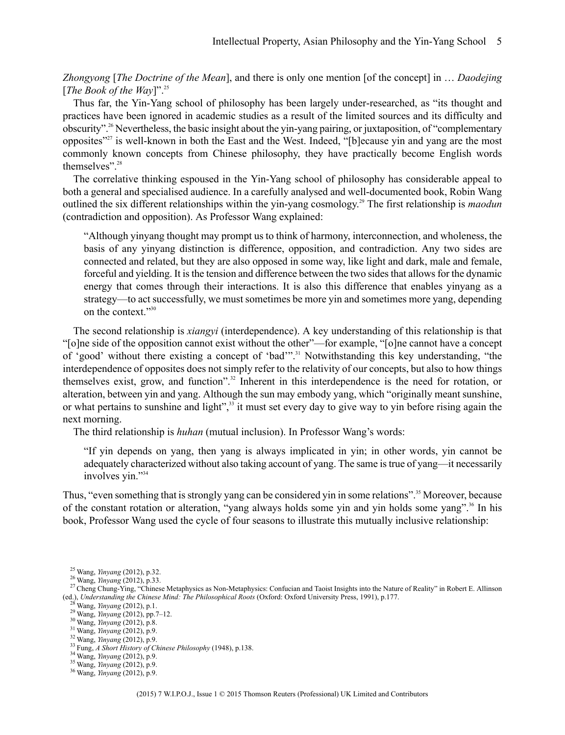*Zhongyong* [*The Doctrine of the Mean*], and there is only one mention [of the concept] in … *Daodejing* [*The Book of the Way*]".<sup>25</sup>

Thus far, the Yin-Yang school of philosophy has been largely under-researched, as "its thought and practices have been ignored in academic studies as a result of the limited sources and its difficulty and obscurity".<sup>26</sup> Nevertheless, the basic insight about the yin-yang pairing, or juxtaposition, of "complementary opposites"<sup>27</sup> is well-known in both the East and the West. Indeed, "[b]ecause yin and yang are the most commonly known concepts from Chinese philosophy, they have practically become English words themselves".<sup>28</sup>

The correlative thinking espoused in the Yin-Yang school of philosophy has considerable appeal to both a general and specialised audience. In a carefully analysed and well-documented book, Robin Wang outlined the six different relationships within the yin-yang cosmology. <sup>29</sup> The first relationship is *maodun* (contradiction and opposition). As Professor Wang explained:

"Although yinyang thought may prompt us to think of harmony, interconnection, and wholeness, the basis of any yinyang distinction is difference, opposition, and contradiction. Any two sides are connected and related, but they are also opposed in some way, like light and dark, male and female, forceful and yielding. It is the tension and difference between the two sides that allows for the dynamic energy that comes through their interactions. It is also this difference that enables yinyang as a strategy—to act successfully, we must sometimes be more yin and sometimes more yang, depending on the context<sup>"30</sup>

The second relationship is *xiangyi* (interdependence). A key understanding of this relationship is that "[o]ne side of the opposition cannot exist without the other"—for example, "[o]ne cannot have a concept of 'good' without there existing a concept of 'bad'".<sup>31</sup> Notwithstanding this key understanding, "the interdependence of opposites does not simply refer to the relativity of our concepts, but also to how things themselves exist, grow, and function".<sup>32</sup> Inherent in this interdependence is the need for rotation, or alteration, between yin and yang. Although the sun may embody yang, which "originally meant sunshine, or what pertains to sunshine and light",<sup>33</sup> it must set every day to give way to yin before rising again the next morning.

The third relationship is *huhan* (mutual inclusion). In Professor Wang's words:

"If yin depends on yang, then yang is always implicated in yin; in other words, yin cannot be adequately characterized without also taking account of yang. The same istrue of yang—it necessarily involves yin."<sup>34</sup>

Thus, "even something that is strongly yang can be considered yin in some relations".<sup>35</sup> Moreover, because of the constant rotation or alteration, "yang always holds some yin and yin holds some yang".<sup>36</sup> In his book, Professor Wang used the cycle of four seasons to illustrate this mutually inclusive relationship:

<sup>25</sup> Wang, *Yinyang* (2012), p.32.

<sup>26</sup> Wang, *Yinyang* (2012), p.33.

<sup>&</sup>lt;sup>27</sup>Cheng Chung-Ying, "Chinese Metaphysics as Non-Metaphysics: Confucian and Taoist Insights into the Nature of Reality" in Robert E. Allinson (ed.), *Understanding the Chinese Mind: The Philosophical Roots* (Oxford: Oxford University Press, 1991), p.177.

<sup>28</sup> Wang, *Yinyang* (2012), p.1.

<sup>29</sup> Wang, *Yinyang* (2012), pp.7–12.

<sup>30</sup> Wang, *Yinyang* (2012), p.8.

<sup>31</sup> Wang, *Yinyang* (2012), p.9. <sup>32</sup> Wang, *Yinyang* (2012), p.9.

<sup>33</sup> Fung, *A Short History of Chinese Philosophy* (1948), p.138.

<sup>34</sup> Wang, *Yinyang* (2012), p.9. <sup>35</sup> Wang, *Yinyang* (2012), p.9.

<sup>36</sup> Wang, *Yinyang* (2012), p.9.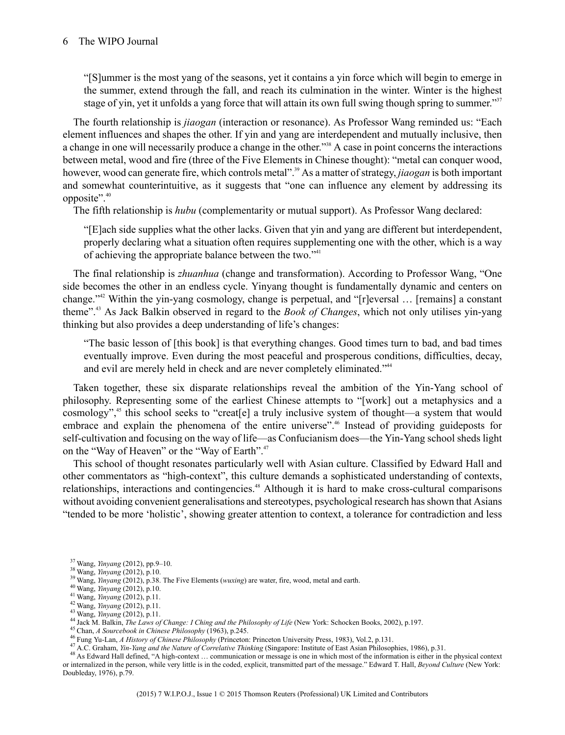"[S]ummer is the most yang of the seasons, yet it contains a yin force which will begin to emerge in the summer, extend through the fall, and reach its culmination in the winter. Winter is the highest stage of yin, yet it unfolds a yang force that will attain its own full swing though spring to summer."<sup>37</sup>

The fourth relationship is *jiaogan* (interaction or resonance). As Professor Wang reminded us: "Each element influences and shapes the other. If yin and yang are interdependent and mutually inclusive, then a change in one will necessarily produce a change in the other."<sup>38</sup> A case in point concerns the interactions between metal, wood and fire (three of the Five Elements in Chinese thought): "metal can conquer wood, however, wood can generate fire, which controls metal".<sup>39</sup> As a matter of strategy, *jiaogan* is both important and somewhat counterintuitive, as it suggests that "one can influence any element by addressing its opposite".<sup>40</sup>

The fifth relationship is *hubu* (complementarity or mutual support). As Professor Wang declared:

"[E]ach side supplies what the other lacks. Given that yin and yang are different but interdependent, properly declaring what a situation often requires supplementing one with the other, which is a way of achieving the appropriate balance between the two."<sup>41</sup>

The final relationship is *zhuanhua* (change and transformation). According to Professor Wang, "One side becomes the other in an endless cycle. Yinyang thought is fundamentally dynamic and centers on change."<sup>42</sup> Within the yin-yang cosmology, change is perpetual, and "[r]eversal … [remains] a constant theme".<sup>43</sup> As Jack Balkin observed in regard to the *Book of Changes*, which not only utilises yin-yang thinking but also provides a deep understanding of life's changes:

"The basic lesson of [this book] is that everything changes. Good times turn to bad, and bad times eventually improve. Even during the most peaceful and prosperous conditions, difficulties, decay, and evil are merely held in check and are never completely eliminated.<sup>244</sup>

Taken together, these six disparate relationships reveal the ambition of the Yin-Yang school of philosophy. Representing some of the earliest Chinese attempts to "[work] out a metaphysics and a cosmology",<sup>45</sup> this school seeks to "creat [e] a truly inclusive system of thought—a system that would embrace and explain the phenomena of the entire universe".<sup>46</sup> Instead of providing guideposts for self-cultivation and focusing on the way of life—as Confucianism does—the Yin-Yang school sheds light on the "Way of Heaven" or the "Way of Earth".<sup>47</sup>

This school of thought resonates particularly well with Asian culture. Classified by Edward Hall and other commentators as "high-context", this culture demands a sophisticated understanding of contexts, relationships, interactions and contingencies.<sup>48</sup> Although it is hard to make cross-cultural comparisons without avoiding convenient generalisations and stereotypes, psychological research hasshown that Asians "tended to be more 'holistic', showing greater attention to context, a tolerance for contradiction and less

48 As Edward Hall defined, "A high-context … communication or message is one in which most of the information is either in the physical context or internalized in the person, while very little is in the coded, explicit, transmitted part of the message." Edward T. Hall, *Beyond Culture* (New York: Doubleday, 1976), p.79.

<sup>37</sup> Wang, *Yinyang* (2012), pp.9–10.

<sup>38</sup> Wang, *Yinyang* (2012), p.10.

<sup>39</sup> Wang, *Yinyang* (2012), p.38. The Five Elements (*wuxing*) are water, fire, wood, metal and earth.

<sup>40</sup> Wang, *Yinyang* (2012), p.10.

<sup>41</sup> Wang, *Yinyang* (2012), p.11.

<sup>42</sup> Wang, *Yinyang* (2012), p.11.

<sup>43</sup> Wang, *Yinyang* (2012), p.11.

<sup>44</sup> Jack M. Balkin, *The Laws of Change: I Ching and the Philosophy of Life* (New York: Schocken Books, 2002), p.197.

<sup>45</sup> Chan, *A Sourcebook in Chinese Philosophy* (1963), p.245.

<sup>46</sup> Fung Yu-Lan, *A History of Chinese Philosophy* (Princeton: Princeton University Press, 1983), Vol.2, p.131.

<sup>47</sup> A.C. Graham, *Yin-Yang and the Nature of Correlative Thinking* (Singapore: Institute of East Asian Philosophies, 1986), p.31.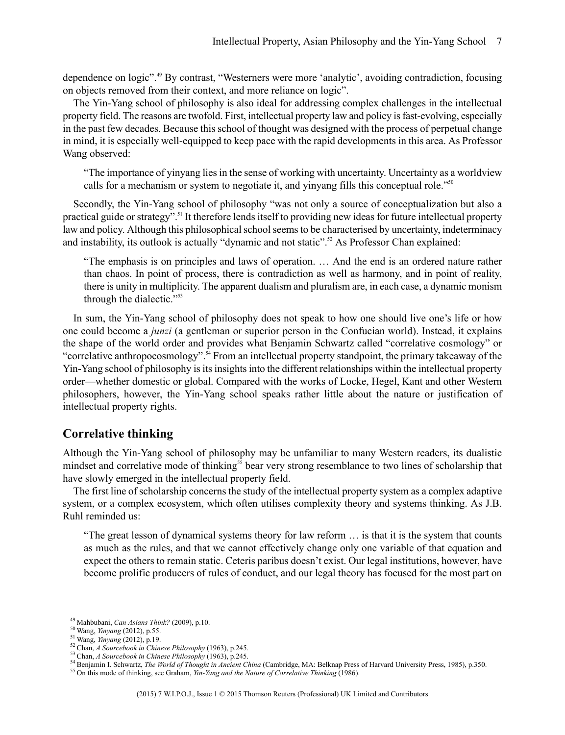dependence on logic".<sup>49</sup> By contrast, "Westerners were more 'analytic', avoiding contradiction, focusing on objects removed from their context, and more reliance on logic".

The Yin-Yang school of philosophy is also ideal for addressing complex challenges in the intellectual property field. The reasons are twofold.First, intellectual property law and policy isfast-evolving, especially in the past few decades. Because this school of thought was designed with the process of perpetual change in mind, it is especially well-equipped to keep pace with the rapid developments in this area. As Professor Wang observed:

"The importance of yinyang liesin the sense of working with uncertainty. Uncertainty as a worldview calls for a mechanism or system to negotiate it, and yinyang fills this conceptual role."<sup>50</sup>

Secondly, the Yin-Yang school of philosophy "was not only a source of conceptualization but also a practical guide or strategy".<sup>51</sup> It therefore lends itself to providing new ideas for future intellectual property law and policy. Although this philosophical school seems to be characterised by uncertainty, indeterminacy and instability, its outlook is actually "dynamic and not static".<sup>52</sup> As Professor Chan explained:

"The emphasis is on principles and laws of operation. … And the end is an ordered nature rather than chaos. In point of process, there is contradiction as well as harmony, and in point of reality, there is unity in multiplicity. The apparent dualism and pluralism are, in each case, a dynamic monism through the dialectic."<sup>53</sup>

In sum, the Yin-Yang school of philosophy does not speak to how one should live one's life or how one could become a *junzi* (a gentleman or superior person in the Confucian world). Instead, it explains the shape of the world order and provides what Benjamin Schwartz called "correlative cosmology" or "correlative anthropocosmology".<sup>54</sup> From an intellectual property standpoint, the primary takeaway of the Yin-Yang school of philosophy isitsinsightsinto the different relationships within the intellectual property order—whether domestic or global. Compared with the works of Locke, Hegel, Kant and other Western philosophers, however, the Yin-Yang school speaks rather little about the nature or justification of intellectual property rights.

#### **Correlative thinking**

Although the Yin-Yang school of philosophy may be unfamiliar to many Western readers, its dualistic mindset and correlative mode of thinking<sup>55</sup> bear very strong resemblance to two lines of scholarship that have slowly emerged in the intellectual property field.

The first line of scholarship concerns the study of the intellectual property system as a complex adaptive system, or a complex ecosystem, which often utilises complexity theory and systems thinking. As J.B. Ruhl reminded us:

"The great lesson of dynamical systems theory for law reform … is that it is the system that counts as much as the rules, and that we cannot effectively change only one variable of that equation and expect the others to remain static. Ceteris paribus doesn't exist. Our legal institutions, however, have become prolific producers of rules of conduct, and our legal theory has focused for the most part on

<sup>54</sup> Benjamin I. Schwartz, *The World of Thought in Ancient China* (Cambridge, MA: Belknap Press of Harvard University Press, 1985), p.350.

<sup>55</sup> On this mode of thinking, see Graham, *Yin-Yang and the Nature of Correlative Thinking* (1986).

<sup>49</sup> Mahbubani, *Can Asians Think?* (2009), p.10.

<sup>50</sup> Wang, *Yinyang* (2012), p.55.

<sup>51</sup> Wang, *Yinyang* (2012), p.19.

<sup>52</sup> Chan, *A Sourcebook in Chinese Philosophy* (1963), p.245.

<sup>53</sup> Chan, *A Sourcebook in Chinese Philosophy* (1963), p.245.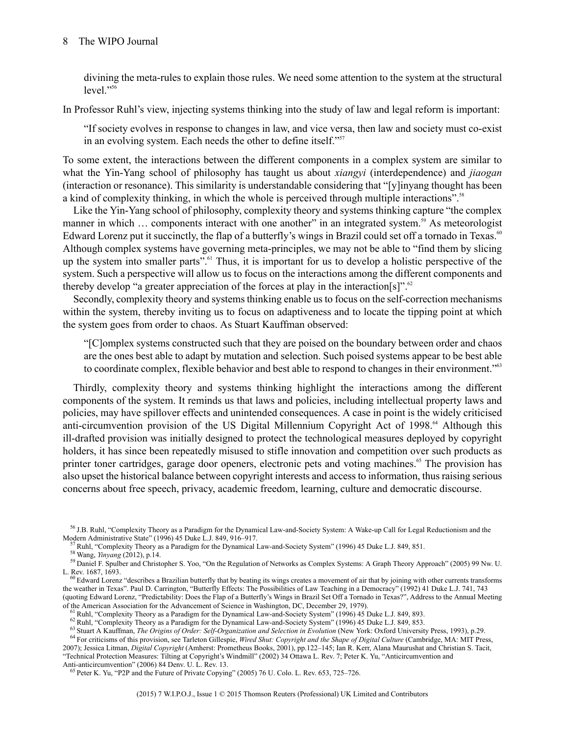#### 8 The WIPO Journal

divining the meta-rules to explain those rules. We need some attention to the system at the structural  $level$ <sup> $,$ 56</sup>

In Professor Ruhl's view, injecting systems thinking into the study of law and legal reform is important:

"If society evolves in response to changes in law, and vice versa, then law and society must co-exist in an evolving system. Each needs the other to define itself."<sup>57</sup>

To some extent, the interactions between the different components in a complex system are similar to what the Yin-Yang school of philosophy has taught us about *xiangyi* (interdependence) and *jiaogan* (interaction or resonance). This similarity is understandable considering that "[y]inyang thought has been a kind of complexity thinking, in which the whole is perceived through multiple interactions".<sup>58</sup>

Like the Yin-Yang school of philosophy, complexity theory and systems thinking capture "the complex manner in which ... components interact with one another" in an integrated system.<sup>59</sup> As meteorologist Edward Lorenz put it succinctly, the flap of a butterfly's wings in Brazil could set off a tornado in Texas.<sup>60</sup> Although complex systems have governing meta-principles, we may not be able to "find them by slicing up the system into smaller parts".<sup>61</sup> Thus, it is important for us to develop a holistic perspective of the system. Such a perspective will allow us to focus on the interactions among the different components and thereby develop "a greater appreciation of the forces at play in the interaction[s]".<sup>62</sup>

Secondly, complexity theory and systems thinking enable us to focus on the self-correction mechanisms within the system, thereby inviting us to focus on adaptiveness and to locate the tipping point at which the system goes from order to chaos. As Stuart Kauffman observed:

"[C]omplex systems constructed such that they are poised on the boundary between order and chaos are the ones best able to adapt by mutation and selection. Such poised systems appear to be best able to coordinate complex, flexible behavior and best able to respond to changes in their environment."<sup>63</sup>

Thirdly, complexity theory and systems thinking highlight the interactions among the different components of the system. It reminds us that laws and policies, including intellectual property laws and policies, may have spillover effects and unintended consequences. A case in point is the widely criticised anti-circumvention provision of the US Digital Millennium Copyright Act of 1998.<sup>64</sup> Although this ill-drafted provision was initially designed to protect the technological measures deployed by copyright holders, it has since been repeatedly misused to stifle innovation and competition over such products as printer toner cartridges, garage door openers, electronic pets and voting machines.<sup>65</sup> The provision has also upset the historical balance between copyright interests and access to information, thus raising serious concerns about free speech, privacy, academic freedom, learning, culture and democratic discourse.

<sup>58</sup> Wang, *Yinyang* (2012), p.14.

<sup>63</sup> Stuart A Kauffman, *The Origins of Order: Self-Organization and Selection in Evolution* (New York: Oxford University Press, 1993), p.29.

<sup>56</sup> J.B. Ruhl, "Complexity Theory as a Paradigm for the Dynamical Law-and-Society System: A Wake-up Call for Legal Reductionism and the Modern Administrative State" (1996) 45 Duke L.J. 849, 916–917.

 $57$  Ruhl, "Complexity Theory as a Paradigm for the Dynamical Law-and-Society System" (1996) 45 Duke L.J. 849, 851.

<sup>&</sup>lt;sup>59</sup> Daniel F. Spulber and Christopher S. Yoo, "On the Regulation of Networks as Complex Systems: A Graph Theory Approach" (2005) 99 Nw. U. L. Rev. 1687, 1693.

 $60$  Edward Lorenz "describes a Brazilian butterfly that by beating its wings creates a movement of air that by joining with other currents transforms the weather in Texas". Paul D. Carrington, "Butterfly Effects: The Possibilities of Law Teaching in a Democracy" (1992) 41 Duke L.J. 741, 743 (quoting Edward Lorenz, "Predictability: Does the Flap of a Butterfly's Wings in Brazil Set Off a Tornado in Texas?", Address to the Annual Meeting of the American Association for the Advancement of Science in Washington, DC, December 29, 1979).

<sup>&</sup>lt;sup>61</sup> Ruhl, "Complexity Theory as a Paradigm for the Dynamical Law-and-Society System" (1996) 45 Duke L.J. 849, 893.

<sup>&</sup>lt;sup>62</sup> Ruhl, "Complexity Theory as a Paradigm for the Dynamical Law-and-Society System" (1996) 45 Duke L.J. 849, 853.

<sup>64</sup> For criticisms of this provision, see Tarleton Gillespie, *Wired Shut: Copyright and the Shape of Digital Culture* (Cambridge, MA: MIT Press, 2007); Jessica Litman, *Digital Copyright* (Amherst: Prometheus Books, 2001), pp.122–145; Ian R. Kerr, Alana Maurushat and Christian S. Tacit, "Technical Protection Measures: Tilting at Copyright's Windmill" (2002) 34 Ottawa L. Rev. 7; Peter K. Yu, "Anticircumvention and Anti-anticircumvention" (2006) 84 Denv. U. L. Rev. 13.

<sup>65</sup> Peter K. Yu, "P2P and the Future of Private Copying" (2005) 76 U. Colo. L. Rev. 653, 725–726.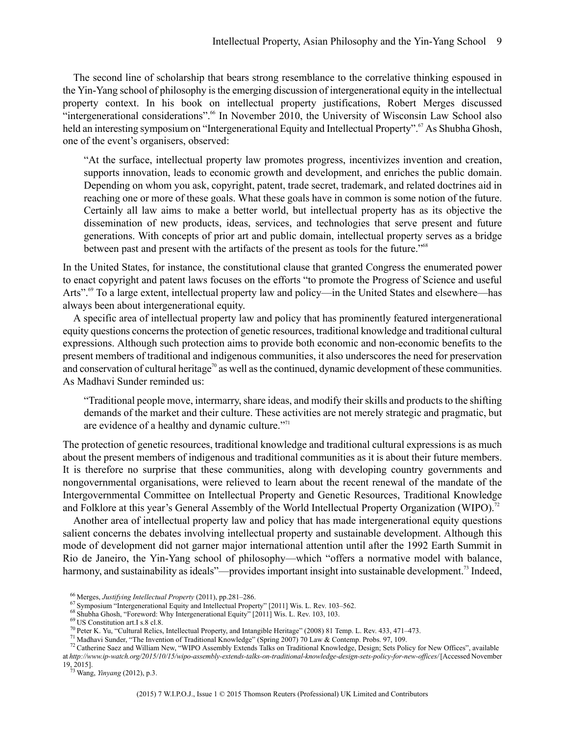The second line of scholarship that bears strong resemblance to the correlative thinking espoused in the Yin-Yang school of philosophy isthe emerging discussion of intergenerational equity in the intellectual property context. In his book on intellectual property justifications, Robert Merges discussed "intergenerational considerations".<sup>66</sup> In November 2010, the University of Wisconsin Law School also held an interesting symposium on "Intergenerational Equity and Intellectual Property".<sup>67</sup> As Shubha Ghosh, one of the event's organisers, observed:

"At the surface, intellectual property law promotes progress, incentivizes invention and creation, supports innovation, leads to economic growth and development, and enriches the public domain. Depending on whom you ask, copyright, patent, trade secret, trademark, and related doctrines aid in reaching one or more of these goals. What these goals have in common is some notion of the future. Certainly all law aims to make a better world, but intellectual property has as its objective the dissemination of new products, ideas, services, and technologies that serve present and future generations. With concepts of prior art and public domain, intellectual property serves as a bridge between past and present with the artifacts of the present as tools for the future."<sup>68</sup>

In the United States, for instance, the constitutional clause that granted Congress the enumerated power to enact copyright and patent laws focuses on the efforts "to promote the Progress of Science and useful Arts".<sup>69</sup> To a large extent, intellectual property law and policy—in the United States and elsewhere—has always been about intergenerational equity.

A specific area of intellectual property law and policy that has prominently featured intergenerational equity questions concernsthe protection of genetic resources, traditional knowledge and traditional cultural expressions. Although such protection aims to provide both economic and non-economic benefits to the present members of traditional and indigenous communities, it also underscores the need for preservation and conservation of cultural heritage<sup>70</sup> as well as the continued, dynamic development of these communities. As Madhavi Sunder reminded us:

"Traditional people move, intermarry, share ideas, and modify their skills and products to the shifting demands of the market and their culture. These activities are not merely strategic and pragmatic, but are evidence of a healthy and dynamic culture."<sup>71</sup>

The protection of genetic resources, traditional knowledge and traditional cultural expressions is as much about the present members of indigenous and traditional communities as it is about their future members. It is therefore no surprise that these communities, along with developing country governments and nongovernmental organisations, were relieved to learn about the recent renewal of the mandate of the Intergovernmental Committee on Intellectual Property and Genetic Resources, Traditional Knowledge and Folklore at this year's General Assembly of the World Intellectual Property Organization (WIPO).<sup>72</sup>

Another area of intellectual property law and policy that has made intergenerational equity questions salient concerns the debates involving intellectual property and sustainable development. Although this mode of development did not garner major international attention until after the 1992 Earth Summit in Rio de Janeiro, the Yin-Yang school of philosophy—which "offers a normative model with balance, harmony, and sustainability as ideals"—provides important insight into sustainable development.<sup>73</sup> Indeed,

<sup>69</sup> US Constitution art.I s.8 cl.8.

<sup>66</sup> Merges, *Justifying Intellectual Property* (2011), pp.281–286.

<sup>67</sup> Symposium "Intergenerational Equity and Intellectual Property" [2011] Wis. L. Rev. 103–562.

<sup>&</sup>lt;sup>68</sup> Shubha Ghosh, "Foreword: Why Intergenerational Equity" [2011] Wis. L. Rev. 103, 103.

<sup>70</sup> Peter K. Yu, "Cultural Relics, Intellectual Property, and Intangible Heritage" (2008) 81 Temp. L. Rev. 433, 471–473.

<sup>71</sup> Madhavi Sunder, "The Invention of Traditional Knowledge" (Spring 2007) 70 Law & Contemp. Probs. 97, 109.

 $^{72}$  Catherine Saez and William New, "WIPO Assembly Extends Talks on Traditional Knowledge, Design; Sets Policy for New Offices", available at *http://www.ip-watch.org/2015/10/15/wipo-assembly-extends-talks-on-traditional-knowledge-design-sets-policy-for-new-offices/* [Accessed November 19, 2015].

<sup>73</sup> Wang, *Yinyang* (2012), p.3.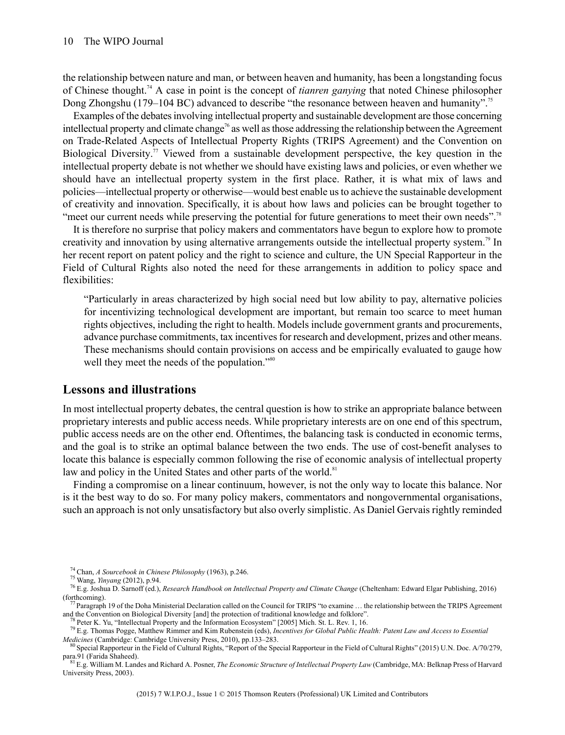the relationship between nature and man, or between heaven and humanity, has been a longstanding focus of Chinese thought.<sup>74</sup> A case in point is the concept of *tianren ganying* that noted Chinese philosopher Dong Zhongshu (179–104 BC) advanced to describe "the resonance between heaven and humanity".<sup>75</sup>

Examples of the debates involving intellectual property and sustainable development are those concerning intellectual property and climate change<sup>76</sup> as well as those addressing the relationship between the Agreement on Trade-Related Aspects of Intellectual Property Rights (TRIPS Agreement) and the Convention on Biological Diversity.<sup>77</sup> Viewed from a sustainable development perspective, the key question in the intellectual property debate is not whether we should have existing laws and policies, or even whether we should have an intellectual property system in the first place. Rather, it is what mix of laws and policies—intellectual property or otherwise—would best enable usto achieve the sustainable development of creativity and innovation. Specifically, it is about how laws and policies can be brought together to "meet our current needs while preserving the potential for future generations to meet their own needs".<sup>78</sup>

It is therefore no surprise that policy makers and commentators have begun to explore how to promote creativity and innovation by using alternative arrangements outside the intellectual property system.<sup>79</sup> In her recent report on patent policy and the right to science and culture, the UN Special Rapporteur in the Field of Cultural Rights also noted the need for these arrangements in addition to policy space and flexibilities:

"Particularly in areas characterized by high social need but low ability to pay, alternative policies for incentivizing technological development are important, but remain too scarce to meet human rights objectives, including the right to health. Models include government grants and procurements, advance purchase commitments, tax incentivesfor research and development, prizes and other means. These mechanisms should contain provisions on access and be empirically evaluated to gauge how well they meet the needs of the population."<sup>80</sup>

#### **Lessons and illustrations**

In most intellectual property debates, the central question is how to strike an appropriate balance between proprietary interests and public access needs. While proprietary interests are on one end of this spectrum, public access needs are on the other end. Oftentimes, the balancing task is conducted in economic terms, and the goal is to strike an optimal balance between the two ends. The use of cost-benefit analyses to locate this balance is especially common following the rise of economic analysis of intellectual property law and policy in the United States and other parts of the world.<sup>81</sup>

Finding a compromise on a linear continuum, however, is not the only way to locate this balance. Nor is it the best way to do so. For many policy makers, commentators and nongovernmental organisations, such an approach is not only unsatisfactory but also overly simplistic. As Daniel Gervais rightly reminded

<sup>77</sup> Paragraph 19 of the Doha Ministerial Declaration called on the Council for TRIPS "to examine … the relationship between the TRIPS Agreement and the Convention on Biological Diversity [and] the protection of traditional knowledge and folklore".

para.91 (Farida Shaheed). <sup>81</sup>E.g. William M. Landes and Richard A. Posner, *The Economic Structure of Intellectual Property Law* (Cambridge, MA: Belknap Press of Harvard University Press, 2003).

<sup>74</sup> Chan, *A Sourcebook in Chinese Philosophy* (1963), p.246.

<sup>75</sup> Wang, *Yinyang* (2012), p.94.

<sup>76</sup> E.g. Joshua D. Sarnoff (ed.), *Research Handbook on Intellectual Property and Climate Change* (Cheltenham: Edward Elgar Publishing, 2016) (forthcoming).

Peter K. Yu, "Intellectual Property and the Information Ecosystem" [2005] Mich. St. L. Rev. 1, 16.

<sup>79</sup> E.g. Thomas Pogge, Matthew Rimmer and Kim Rubenstein (eds), *Incentives for Global Public Health: Patent Law and Access to Essential Medicines* (Cambridge: Cambridge University Press, 2010), pp.133–283.

<sup>&</sup>lt;sup>80</sup> Special Rapporteur in the Field of Cultural Rights, "Report of the Special Rapporteur in the Field of Cultural Rights" (2015) U.N. Doc. A/70/279,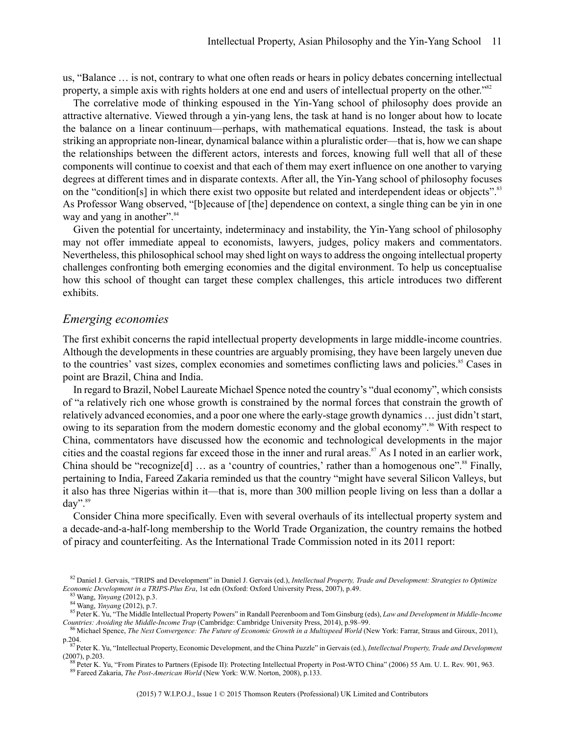us, "Balance … is not, contrary to what one often reads or hears in policy debates concerning intellectual property, a simple axis with rights holders at one end and users of intellectual property on the other."<sup>82</sup>

The correlative mode of thinking espoused in the Yin-Yang school of philosophy does provide an attractive alternative. Viewed through a yin-yang lens, the task at hand is no longer about how to locate the balance on a linear continuum—perhaps, with mathematical equations. Instead, the task is about striking an appropriate non-linear, dynamical balance within a pluralistic order—that is, how we can shape the relationships between the different actors, interests and forces, knowing full well that all of these components will continue to coexist and that each of them may exert influence on one another to varying degrees at different times and in disparate contexts. After all, the Yin-Yang school of philosophy focuses on the "condition[s] in which there exist two opposite but related and interdependent ideas or objects".<sup>83</sup> As Professor Wang observed, "[b]ecause of [the] dependence on context, a single thing can be yin in one way and yang in another".<sup>84</sup>

Given the potential for uncertainty, indeterminacy and instability, the Yin-Yang school of philosophy may not offer immediate appeal to economists, lawyers, judges, policy makers and commentators. Nevertheless, this philosophical school may shed light on ways to address the ongoing intellectual property challenges confronting both emerging economies and the digital environment. To help us conceptualise how this school of thought can target these complex challenges, this article introduces two different exhibits.

#### *Emerging economies*

The first exhibit concerns the rapid intellectual property developments in large middle-income countries. Although the developments in these countries are arguably promising, they have been largely uneven due to the countries' vast sizes, complex economies and sometimes conflicting laws and policies.<sup>85</sup> Cases in point are Brazil, China and India.

In regard to Brazil, Nobel Laureate Michael Spence noted the country's "dual economy", which consists of "a relatively rich one whose growth is constrained by the normal forces that constrain the growth of relatively advanced economies, and a poor one where the early-stage growth dynamics … just didn't start, owing to its separation from the modern domestic economy and the global economy".<sup>86</sup> With respect to China, commentators have discussed how the economic and technological developments in the major cities and the coastal regions far exceed those in the inner and rural areas.<sup>87</sup> As I noted in an earlier work, China should be "recognize $[d]$  ... as a 'country of countries,' rather than a homogenous one".<sup>88</sup> Finally, pertaining to India, Fareed Zakaria reminded us that the country "might have several Silicon Valleys, but it also has three Nigerias within it—that is, more than 300 million people living on less than a dollar a day".<sup>89</sup>

Consider China more specifically. Even with several overhauls of its intellectual property system and a decade-and-a-half-long membership to the World Trade Organization, the country remains the hotbed of piracy and counterfeiting. As the International Trade Commission noted in its 2011 report:

<sup>82</sup> Daniel J. Gervais, "TRIPS and Development" in Daniel J. Gervais (ed.), *Intellectual Property, Trade and Development: Strategies to Optimize Economic Development in a TRIPS-Plus Era*, 1st edn (Oxford: Oxford University Press, 2007), p.49.

<sup>83</sup> Wang, *Yinyang* (2012), p.3.

<sup>84</sup> Wang, *Yinyang* (2012), p.7.

<sup>85</sup>Peter K. Yu, "The Middle Intellectual Property Powers" in Randall Peerenboom and Tom Ginsburg (eds), *Law and Development in Middle-Income Countries: Avoiding the Middle-Income Trap* (Cambridge: Cambridge University Press, 2014), p.98–99.

<sup>86</sup> Michael Spence, *The Next Convergence: The Future of Economic Growth in a Multispeed World* (New York: Farrar, Straus and Giroux, 2011), p.204.

<sup>87</sup>Peter K. Yu, "Intellectual Property, Economic Development, and the China Puzzle" in Gervais (ed.), *Intellectual Property, Trade and Development* (2007), p.203.

<sup>88</sup> Peter K. Yu, "From Pirates to Partners (Episode II): Protecting Intellectual Property in Post-WTO China" (2006) 55 Am. U. L. Rev. 901, 963. <sup>89</sup> Fareed Zakaria, *The Post-American World* (New York: W.W. Norton, 2008), p.133.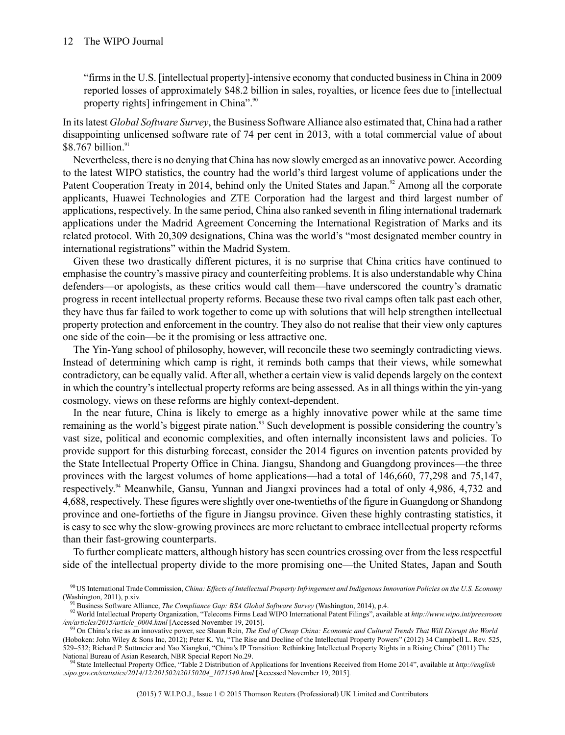"firms in the U.S. [intellectual property]-intensive economy that conducted business in China in 2009 reported losses of approximately \$48.2 billion in sales, royalties, or licence fees due to [intellectual property rights] infringement in China".<sup>90</sup>

In its latest *Global Software Survey*, the Business Software Alliance also estimated that, China had a rather disappointing unlicensed software rate of 74 per cent in 2013, with a total commercial value of about  $$8.767$  billion.<sup>91</sup>

Nevertheless, there is no denying that China has now slowly emerged as an innovative power. According to the latest WIPO statistics, the country had the world's third largest volume of applications under the Patent Cooperation Treaty in 2014, behind only the United States and Japan.<sup>92</sup> Among all the corporate applicants, Huawei Technologies and ZTE Corporation had the largest and third largest number of applications, respectively. In the same period, China also ranked seventh in filing international trademark applications under the Madrid Agreement Concerning the International Registration of Marks and its related protocol. With 20,309 designations, China was the world's "most designated member country in international registrations" within the Madrid System.

Given these two drastically different pictures, it is no surprise that China critics have continued to emphasise the country's massive piracy and counterfeiting problems. It is also understandable why China defenders—or apologists, as these critics would call them—have underscored the country's dramatic progress in recent intellectual property reforms. Because these two rival camps often talk past each other, they have thus far failed to work together to come up with solutions that will help strengthen intellectual property protection and enforcement in the country. They also do not realise that their view only captures one side of the coin—be it the promising or less attractive one.

The Yin-Yang school of philosophy, however, will reconcile these two seemingly contradicting views. Instead of determining which camp is right, it reminds both camps that their views, while somewhat contradictory, can be equally valid. After all, whether a certain view is valid depends largely on the context in which the country's intellectual property reforms are being assessed. As in all things within the yin-yang cosmology, views on these reforms are highly context-dependent.

In the near future, China is likely to emerge as a highly innovative power while at the same time remaining as the world's biggest pirate nation.<sup>93</sup> Such development is possible considering the country's vast size, political and economic complexities, and often internally inconsistent laws and policies. To provide support for this disturbing forecast, consider the 2014 figures on invention patents provided by the State Intellectual Property Office in China. Jiangsu, Shandong and Guangdong provinces—the three provinces with the largest volumes of home applications—had a total of 146,660, 77,298 and 75,147, respectively. <sup>94</sup> Meanwhile, Gansu, Yunnan and Jiangxi provinces had a total of only 4,986, 4,732 and 4,688, respectively. These figures were slightly over one-twentieths of the figure in Guangdong orShandong province and one-fortieths of the figure in Jiangsu province. Given these highly contrasting statistics, it is easy to see why the slow-growing provinces are more reluctant to embrace intellectual property reforms than their fast-growing counterparts.

To further complicate matters, although history hasseen countries crossing over from the lessrespectful side of the intellectual property divide to the more promising one—the United States, Japan and South

<sup>94</sup> State Intellectual Property Office, "Table 2 Distribution of Applications for Inventions Received from Home 2014", available at *http://english .sipo.gov.cn/statistics/2014/12/201502/t20150204\_1071540.html* [Accessed November 19, 2015].

<sup>90</sup> US International Trade Commission, China: Effects of Intellectual Property Infringement and Indigenous Innovation Policies on the U.S. Economy (Washington, 2011), p.xiv.

<sup>91</sup> Business Software Alliance, *The Compliance Gap: BSA Global Software Survey* (Washington, 2014), p.4.

<sup>92</sup> World Intellectual Property Organization, "Telecoms Firms Lead WIPO International Patent Filings", available at *http://www.wipo.int/pressroom* en/articles/2015/article\_0004.html [Accessed November 19, 2015].<br><sup>93</sup> On China's rise as an innovative power, see Shaun Rein, *The End of Cheap China: Economic and Cultural Trends That Will Disrupt the World* 

<sup>(</sup>Hoboken: John Wiley & Sons Inc, 2012); Peter K. Yu, "The Rise and Decline of the Intellectual Property Powers" (2012) 34 Campbell L. Rev. 525, 529–532; Richard P. Suttmeier and Yao Xiangkui, "China's IP Transition: Rethinking Intellectual Property Rights in a Rising China" (2011) The National Bureau of Asian Research, NBR Special Report No.29.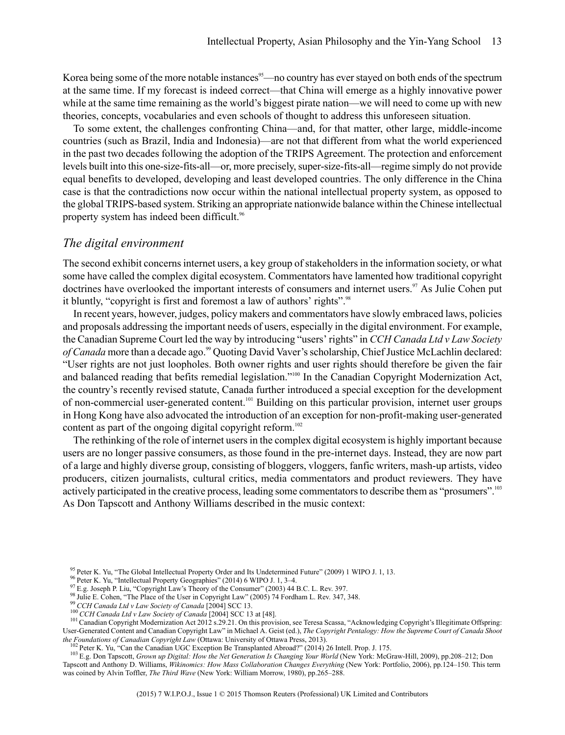Korea being some of the more notable instances<sup>95</sup>—no country has ever stayed on both ends of the spectrum at the same time. If my forecast is indeed correct—that China will emerge as a highly innovative power while at the same time remaining as the world's biggest pirate nation—we will need to come up with new theories, concepts, vocabularies and even schools of thought to address this unforeseen situation.

To some extent, the challenges confronting China—and, for that matter, other large, middle-income countries (such as Brazil, India and Indonesia)—are not that different from what the world experienced in the past two decades following the adoption of the TRIPS Agreement. The protection and enforcement levels built into this one-size-fits-all—or, more precisely, super-size-fits-all—regime simply do not provide equal benefits to developed, developing and least developed countries. The only difference in the China case is that the contradictions now occur within the national intellectual property system, as opposed to the global TRIPS-based system. Striking an appropriate nationwide balance within the Chinese intellectual property system has indeed been difficult.<sup>96</sup>

#### *The digital environment*

The second exhibit concerns internet users, a key group of stakeholders in the information society, or what some have called the complex digital ecosystem. Commentators have lamented how traditional copyright doctrines have overlooked the important interests of consumers and internet users.<sup>97</sup> As Julie Cohen put it bluntly, "copyright is first and foremost a law of authors' rights".<sup>98</sup>

In recent years, however, judges, policy makers and commentators have slowly embraced laws, policies and proposals addressing the important needs of users, especially in the digital environment.For example, the CanadianSupreme Court led the way by introducing "users' rights" in *CCH CanadaLtd vLaw Society of Canada* more than a decade ago.<sup>99</sup> Quoting David Vaver's scholarship, Chief Justice McLachlin declared: "User rights are not just loopholes. Both owner rights and user rights should therefore be given the fair and balanced reading that befits remedial legislation."<sup>100</sup> In the Canadian Copyright Modernization Act, the country's recently revised statute, Canada further introduced a special exception for the development of non-commercial user-generated content.<sup>101</sup> Building on this particular provision, internet user groups in Hong Kong have also advocated the introduction of an exception for non-profit-making user-generated content as part of the ongoing digital copyright reform.<sup>102</sup>

The rethinking of the role of internet usersin the complex digital ecosystem is highly important because users are no longer passive consumers, as those found in the pre-internet days. Instead, they are now part of a large and highly diverse group, consisting of bloggers, vloggers, fanfic writers, mash-up artists, video producers, citizen journalists, cultural critics, media commentators and product reviewers. They have actively participated in the creative process, leading some commentators to describe them as "prosumers".<sup>103</sup> As Don Tapscott and Anthony Williams described in the music context:

<sup>&</sup>lt;sup>95</sup> Peter K. Yu, "The Global Intellectual Property Order and Its Undetermined Future" (2009) 1 WIPO J. 1, 13.

<sup>96</sup> Peter K. Yu, "Intellectual Property Geographies" (2014) 6 WIPO J. 1, 3–4.

<sup>&</sup>lt;sup>97</sup> E.g. Joseph P. Liu, "Copyright Law's Theory of the Consumer" (2003) 44 B.C. L. Rev. 397.

<sup>98</sup> Julie E. Cohen, "The Place of the User in Copyright Law" (2005) 74 Fordham L. Rev. 347, 348.

<sup>99</sup> *CCH Canada Ltd v Law Society of Canada* [2004] SCC 13.

<sup>100</sup> *CCH Canada Ltd v Law Society of Canada* [2004] SCC 13 at [48].

<sup>&</sup>lt;sup>101</sup> Canadian Copyright Modernization Act 2012 s.29.21. On this provision, see Teresa Scassa, "Acknowledging Copyright's Illegitimate Offspring: User-Generated Content and Canadian Copyright Law" in Michael A. Geist (ed.), *The Copyright Pentalogy: How the Supreme Court of Canada Shoot the Foundations of Canadian Copyright Law* (Ottawa: University of Ottawa Press, 2013).

<sup>&</sup>lt;sup>102</sup> Peter K. Yu, "Can the Canadian UGC Exception Be Transplanted Abroad?" (2014) 26 Intell. Prop. J. 175.

<sup>103</sup> E.g. Don Tapscott, *Grown up Digital: How the Net Generation Is Changing Your World* (New York: McGraw-Hill, 2009), pp.208–212; Don Tapscott and Anthony D. Williams, *Wikinomics: How Mass Collaboration Changes Everything* (New York: Portfolio, 2006), pp.124–150. This term was coined by Alvin Toffler, *The Third Wave* (New York: William Morrow, 1980), pp.265–288.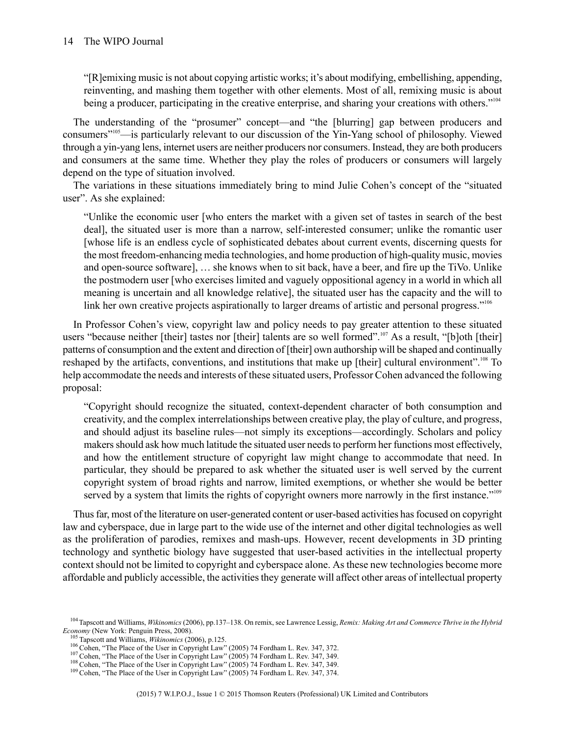"[R]emixing music is not about copying artistic works; it's about modifying, embellishing, appending, reinventing, and mashing them together with other elements. Most of all, remixing music is about being a producer, participating in the creative enterprise, and sharing your creations with others."<sup>104</sup>

The understanding of the "prosumer" concept—and "the [blurring] gap between producers and consumers"<sup>105</sup>—is particularly relevant to our discussion of the Yin-Yang school of philosophy. Viewed through a yin-yang lens, internet users are neither producers nor consumers. Instead, they are both producers and consumers at the same time. Whether they play the roles of producers or consumers will largely depend on the type of situation involved.

The variations in these situations immediately bring to mind Julie Cohen's concept of the "situated user". As she explained:

"Unlike the economic user [who enters the market with a given set of tastes in search of the best deal], the situated user is more than a narrow, self-interested consumer; unlike the romantic user [whose life is an endless cycle of sophisticated debates about current events, discerning quests for the most freedom-enhancing media technologies, and home production of high-quality music, movies and open-source software], … she knows when to sit back, have a beer, and fire up the TiVo. Unlike the postmodern user [who exercises limited and vaguely oppositional agency in a world in which all meaning is uncertain and all knowledge relative], the situated user has the capacity and the will to link her own creative projects aspirationally to larger dreams of artistic and personal progress."<sup>106</sup>

In Professor Cohen's view, copyright law and policy needs to pay greater attention to these situated users "because neither [their] tastes nor [their] talents are so well formed".<sup>107</sup> As a result, "[b]oth [their] patterns of consumption and the extent and direction of [their] own authorship will be shaped and continually reshaped by the artifacts, conventions, and institutions that make up [their] cultural environment".<sup>108</sup> To help accommodate the needs and interests of these situated users, Professor Cohen advanced the following proposal:

"Copyright should recognize the situated, context-dependent character of both consumption and creativity, and the complex interrelationships between creative play, the play of culture, and progress, and should adjust its baseline rules—not simply its exceptions—accordingly. Scholars and policy makers should ask how much latitude the situated user needs to perform her functions most effectively, and how the entitlement structure of copyright law might change to accommodate that need. In particular, they should be prepared to ask whether the situated user is well served by the current copyright system of broad rights and narrow, limited exemptions, or whether she would be better served by a system that limits the rights of copyright owners more narrowly in the first instance."<sup>109</sup>

Thus far, most of the literature on user-generated content or user-based activities has focused on copyright law and cyberspace, due in large part to the wide use of the internet and other digital technologies as well as the proliferation of parodies, remixes and mash-ups. However, recent developments in 3D printing technology and synthetic biology have suggested that user-based activities in the intellectual property context should not be limited to copyright and cyberspace alone. As these new technologies become more affordable and publicly accessible, the activitiesthey generate will affect other areas of intellectual property

<sup>104</sup>Tapscott and Williams, *Wikinomics* (2006), pp.137–138. On remix, see Lawrence Lessig, *Remix: Making Art and Commerce Thrive in the Hybrid Economy* (New York: Penguin Press, 2008).

<sup>105</sup> Tapscott and Williams, *Wikinomics* (2006), p.125.

<sup>&</sup>lt;sup>106</sup> Cohen, "The Place of the User in Copyright Law" (2005) 74 Fordham L. Rev. 347, 372.

<sup>&</sup>lt;sup>107</sup> Cohen, "The Place of the User in Copyright Law" (2005) 74 Fordham L. Rev. 347, 349.

<sup>&</sup>lt;sup>108</sup> Cohen, "The Place of the User in Copyright Law" (2005) 74 Fordham L. Rev. 347, 349.

<sup>&</sup>lt;sup>109</sup> Cohen, "The Place of the User in Copyright Law" (2005) 74 Fordham L. Rev. 347, 374.